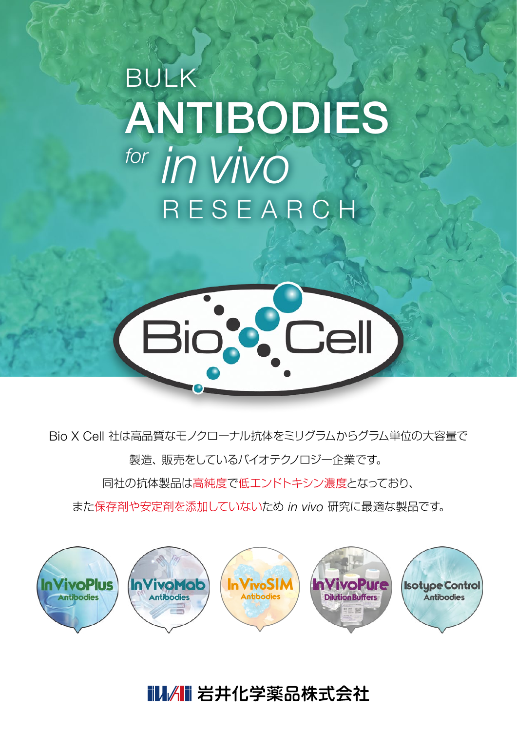# BULK ANTIBODIES *for in vivo* RESEARCH



Bio X Cell 社は高品質なモノクローナル抗体をミリグラムからグラム単位の大容量で 製造、販売をしているバイオテクノロジー企業です。

同社の抗体製品は高純度で低エンドトキシン濃度となっており、

また保存剤や安定剤を添加していないため *in vivo* 研究に最適な製品です。



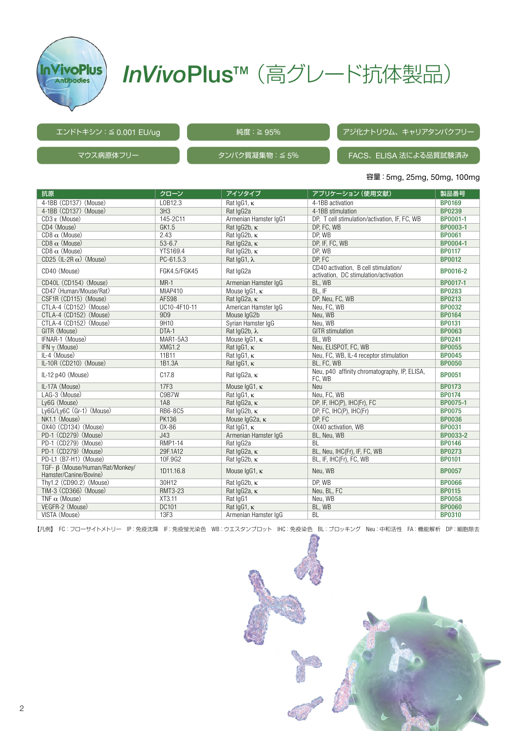

## **InVivoPlus™** (高グレード抗体製品)

#### エンドトキシン:≦ 0.001 EU/ug

純度: ≧ 95% アジ化ナトリウム、キャリアタンパクフリー

マウス病原体フリー – – – – – – – タンパク質凝集物:≦5%

## FACS、ELISA 法による品質試験済み

#### 容量:5mg, 25mg, 50mg, 100mg

| 抗原                                                        | クローン            | アイソタイプ                  | アプリケーション (使用文献)                                                               | 製品番号          |
|-----------------------------------------------------------|-----------------|-------------------------|-------------------------------------------------------------------------------|---------------|
| 4-1BB (CD137) (Mouse)                                     | L0B12.3         | Rat $lgG1$ , $\kappa$   | 4-1BB activation                                                              | <b>BP0169</b> |
| 4-1BB (CD137) (Mouse)                                     | 3H3             | Rat IgG2a               | 4-1BB stimulation                                                             | <b>BP0239</b> |
| $CD3 \varepsilon$ (Mouse)                                 | 145-2C11        | Armenian Hamster IqG1   | DP. T cell stimulation/activation, IF, FC, WB                                 | BP0001-1      |
| CD4 (Mouse)                                               | GK1.5           | Rat IqG2b, K            | DP, FC, WB                                                                    | BP0003-1      |
| $CD8 \alpha$ (Mouse)                                      | 2.43            | Rat IqG2b, K            | DP, WB                                                                        | <b>BP0061</b> |
| $CD8 \alpha$ (Mouse)                                      | $53 - 6.7$      | Rat IqG2a, K            | DP, IF, FC, WB                                                                | BP0004-1      |
| $CD8 \alpha$ (Mouse)                                      | YTS169.4        | Rat IqG2b, K            | DP, WB                                                                        | <b>BP0117</b> |
| CD25 (IL-2R $\alpha$ ) (Mouse)                            | PC-61.5.3       | Rat $lgG1, \lambda$     | DP, FC                                                                        | <b>BP0012</b> |
| CD40 (Mouse)                                              | FGK4.5/FGK45    | Rat IgG2a               | CD40 activation, B cell stimulation/<br>activation, DC stimulation/activation | BP0016-2      |
| CD40L (CD154) (Mouse)                                     | $MR-1$          | Armenian Hamster IqG    | BL, WB                                                                        | BP0017-1      |
| CD47 (Human/Mouse/Rat)                                    | MIAP410         | Mouse IgG1, K           | BL, IF                                                                        | <b>BP0283</b> |
| CSF1R (CD115) (Mouse)                                     | AFS98           | Rat IgG2a, K            | DP, Neu, FC, WB                                                               | <b>BP0213</b> |
| CTLA-4 (CD152) (Mouse)                                    | UC10-4F10-11    | American Hamster IgG    | Neu, FC, WB                                                                   | <b>BP0032</b> |
| CTLA-4 (CD152) (Mouse)                                    | 9D9             | Mouse IgG2b             | Neu, WB                                                                       | <b>BP0164</b> |
| CTLA-4 (CD152) (Mouse)                                    | 9H10            | Syrian Hamster IqG      | Neu, WB                                                                       | <b>BP0131</b> |
| GITR (Mouse)                                              | DTA-1           | Rat IgG2b, λ            | <b>GITR</b> stimulation                                                       | <b>BP0063</b> |
| IFNAR-1 (Mouse)                                           | <b>MAR1-5A3</b> | Mouse IgG1, κ           | BL, WB                                                                        | <b>BP0241</b> |
| IFN $\gamma$ (Mouse)                                      | <b>XMG1.2</b>   | Rat lqG1, K             | Neu, ELISPOT, FC, WB                                                          | <b>BP0055</b> |
| IL-4 (Mouse)                                              | 11B11           | Rat IgG1, K             | Neu, FC, WB, IL-4 receptor stimulation                                        | <b>BP0045</b> |
| IL-10R (CD210) (Mouse)                                    | 1B1.3A          | Rat $lgG1$ , $\kappa$   | BL, FC, WB                                                                    | <b>BP0050</b> |
| IL-12 p40 (Mouse)                                         | C17.8           | Rat IgG2a, K            | Neu, p40 affinity chromatography, IP, ELISA,<br>FC, WB                        | <b>BP0051</b> |
| IL-17A (Mouse)                                            | 17F3            | Mouse IgG1, K           | Neu                                                                           | <b>BP0173</b> |
| LAG-3 (Mouse)                                             | C9B7W           | Rat $lgG1, \kappa$      | Neu, FC, WB                                                                   | <b>BP0174</b> |
| Ly6G (Mouse)                                              | 1A8             | Rat IgG2a, K            | DP, IF, IHC(P), IHC(Fr), FC                                                   | BP0075-1      |
| Ly6G/Ly6C (Gr-1) (Mouse)                                  | RB6-8C5         | Rat IgG2b, K            | DP, FC, IHC(P), IHC(Fr)                                                       | <b>BP0075</b> |
| NK1.1 (Mouse)                                             | <b>PK136</b>    | Mouse IgG2a, K          | DP, FC                                                                        | <b>BP0036</b> |
| OX40 (CD134) (Mouse)                                      | $0X-86$         | Rat $lgG1$ , $\kappa$   | OX40 activation, WB                                                           | <b>BP0031</b> |
| PD-1 (CD279) (Mouse)                                      | J43             | Armenian Hamster IqG    | BL, Neu, WB                                                                   | BP0033-2      |
| PD-1 (CD279) (Mouse)                                      | RMP1-14         | Rat IgG2a               | <b>BL</b>                                                                     | <b>BP0146</b> |
| PD-1 (CD279) (Mouse)                                      | 29F.1A12        | Rat IgG2a, K            | BL, Neu, IHC(Fr), IF, FC, WB                                                  | <b>BP0273</b> |
| PD-L1 (B7-H1) (Mouse)                                     | 10F.9G2         | Rat IqG2b, K            | BL, IF, IHC(Fr), FC, WB                                                       | <b>BP0101</b> |
| TGF- B (Mouse/Human/Rat/Monkey/<br>Hamster/Canine/Bovine) | 1D11.16.8       | Mouse $lgG1$ , $\kappa$ | Neu, WB                                                                       | <b>BP0057</b> |
| Thy1.2 (CD90.2) (Mouse)                                   | 30H12           | Rat IgG2b, K            | DP, WB                                                                        | <b>BP0066</b> |
| TIM-3 (CD366) (Mouse)                                     | <b>RMT3-23</b>  | Rat IgG2a, K            | Neu, BL, FC                                                                   | <b>BP0115</b> |
| TNF $\alpha$ (Mouse)                                      | XT3.11          | Rat IgG1                | Neu, WB                                                                       | <b>BP0058</b> |
| VEGFR-2 (Mouse)                                           | DC101           | Rat $lgG1$ , $\kappa$   | BL, WB                                                                        | <b>BP0060</b> |
| VISTA (Mouse)                                             | 13F3            | Armenian Hamster IqG    | <b>BL</b>                                                                     | <b>BP0310</b> |

【凡例】 FC:フローサイトメトリー IP:免疫沈降 IF:免疫蛍光染色 WB:ウエスタンブロット IHC:免疫染色 BL:ブロッキング Neu:中和活性 FA:機能解析 DP:細胞除去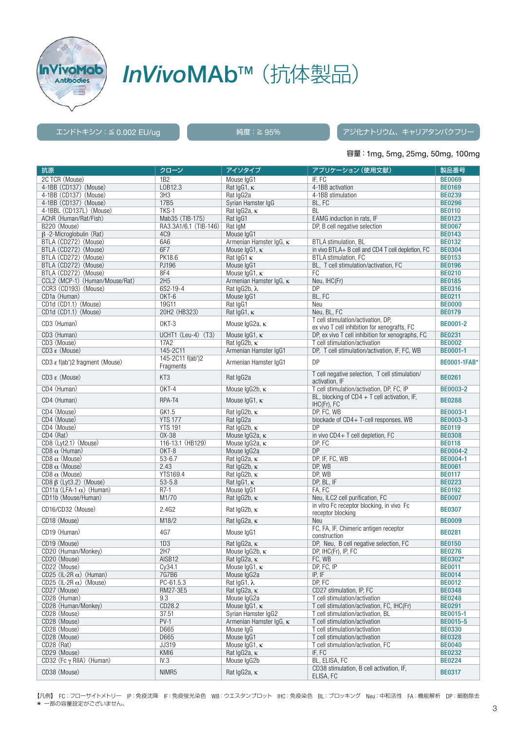

## *InVivo*MAb™(抗体製品)

### エンドトキシン:≦ 0.002 EU/ug 純度:≧ 95% アジ化ナトリウム、キャリアタンパクフリー

#### 容量:1mg, 5mg, 25mg, 50mg, 100mg

| 抗原                                           | クローン                  | アイソタイプ                       | アプリケーション (使用文献)                                   | 製品番号                      |
|----------------------------------------------|-----------------------|------------------------------|---------------------------------------------------|---------------------------|
| 2C TCR (Mouse)                               | 1B <sub>2</sub>       | Mouse IgG1                   | IF, FC                                            | <b>BE0069</b>             |
| 4-1BB (CD137) (Mouse)                        | L0B12.3               | Rat $lgG1$ , $\kappa$        | 4-1BB activation                                  | <b>BE0169</b>             |
| 4-1BB (CD137) (Mouse)                        | 3H3                   | Rat IgG2a                    | 4-1BB stimulation                                 | <b>BE0239</b>             |
| 4-1BB (CD137) (Mouse)                        | 17B5                  | Syrian Hamster IgG           | BL, FC                                            | <b>BE0296</b>             |
| 4-1BBL (CD137L) (Mouse)                      | TKS-1                 | Rat IgG2a, K                 | BL                                                | <b>BE0110</b>             |
| AChR (Human/Rat/Fish)                        | Mab35 (TIB-175)       | Rat IgG1                     | EAMG induction in rats. IF                        | <b>BE0123</b>             |
| B220 (Mouse)                                 | RA3.3A1/6.1 (TIB-146) | Rat IgM                      | DP, B cell negative selection                     | <b>BE0067</b>             |
| $\beta$ -2-Microglobulin (Rat)               | 4C <sub>9</sub>       | Mouse IgG1                   |                                                   | <b>BE0143</b>             |
| BTLA (CD272) (Mouse)                         | 6A6                   | Armenian Hamster IgG, κ      | <b>BTLA</b> stimulation, BL                       | <b>BE0132</b>             |
| BTLA (CD272) (Mouse)                         | 6F7                   | Mouse $lgG1$ , $\kappa$      | in vivo BTLA+ B cell and CD4 T cell depletion, FC | <b>BE0304</b>             |
| BTLA (CD272) (Mouse)                         | PK18.6                | Rat $\lg G1 \kappa$          | BTLA stimulation, FC                              | <b>BE0153</b>             |
| BTLA (CD272) (Mouse)                         | PJ196                 | Mouse IgG1                   | BL, T cell stimulation/activation, FC             | <b>BE0196</b>             |
| BTLA (CD272) (Mouse)                         | 8F4                   | Mouse IgG1, K                | FC                                                | <b>BE0210</b>             |
| CCL2 (MCP-1) (Human/Mouse/Rat)               | 2H5                   | Armenian Hamster IgG. K      | Neu, IHC(Fr)                                      | <b>BE0185</b>             |
| CCR3 (CD193) (Mouse)                         | 6S2-19-4              | Rat IgG2b, λ                 | DP                                                | <b>BE0316</b>             |
| CD1a (Human)                                 | OKT-6                 | Mouse IgG1                   | BL, FC                                            | <b>BE0211</b>             |
| CD1d (CD1.1) (Mouse)                         | 19G11                 | Rat IqG1                     | Neu                                               | <b>BE0000</b>             |
| CD1d (CD1.1) (Mouse)                         | 20H2 (HB323)          | Rat $lgG1$ , $\kappa$        | Neu, BL, FC                                       | <b>BE0179</b>             |
|                                              |                       |                              | T cell stimulation/activation, DP,                |                           |
| CD3 (Human)                                  | OKT-3                 | Mouse IgG2a, K               | ex vivo T cell inhibition for xenografts, FC      | <b>BE0001-2</b>           |
| CD3 (Human)                                  | UCHT1 (Leu-4) (T3)    | Mouse laG1. K                | DP, ex vivo T cell inhibition for xenographs. FC  | <b>BE0231</b>             |
| CD3 (Mouse)                                  | 17A2                  | Rat IgG2b, K                 | T cell stimulation/activation                     | <b>BE0002</b>             |
| $CD3 \varepsilon$ (Mouse)                    | 145-2C11              | Armenian Hamster IqG1        | DP, T cell stimulation/activation, IF, FC, WB     | BE0001-1                  |
|                                              | 145-2C11 f(ab')2      |                              |                                                   |                           |
| CD3 ε f(ab')2 fragment (Mouse)               | Fragments             | Armenian Hamster IqG1        | DP                                                | <b>BE0001-1FAB*</b>       |
| $CD3 \varepsilon$ (Mouse)                    | KT <sub>3</sub>       | Rat IgG2a                    | T cell negative selection, T cell stimulation/    | <b>BE0261</b>             |
|                                              |                       |                              | activation, IF                                    |                           |
| CD4 (Human)                                  | OKT-4                 | Mouse IgG2b, κ               | T cell stimulation/activation, DP, FC, IP         | <b>BE0003-2</b>           |
| CD4 (Human)                                  | RPA-T4                | Mouse IgG1, K                | BL, blocking of $CD4 + T$ cell activation, IF,    | <b>BE0288</b>             |
| CD4 (Mouse)                                  | GK1.5                 |                              | IHC(Fr), FC                                       |                           |
|                                              | <b>YTS 177</b>        | Rat IgG2b, K                 | DP, FC, WB                                        | <b>BE0003-1</b>           |
| CD4 (Mouse)                                  | <b>YTS 191</b>        | Rat IgG2a                    | blockade of CD4+ T-cell responses, WB<br>DP       | BE0003-3                  |
| CD4 (Mouse)<br>CD4 (Rat)                     | 0X-38                 | Rat IgG2b, K                 |                                                   | <b>BE0119</b>             |
|                                              |                       | Mouse IgG2a, K               | in vivo CD4+ T cell depletion, FC                 | <b>BE0308</b>             |
| CD8 (Lyt2.1) (Mouse)<br>CD8 $\alpha$ (Human) | 116-13.1 (HB129)      | Mouse IgG2a, K               | DP, FC<br><b>DP</b>                               | <b>BE0118</b><br>BE0004-2 |
| CD8 $\alpha$ (Mouse)                         | OKT-8<br>$53 - 6.7$   | Mouse IgG2a                  |                                                   | <b>BE0004-1</b>           |
| CD8 $\alpha$ (Mouse)                         | 2.43                  | Rat IgG2a, K<br>Rat IgG2b, K | DP, IF, FC, WB<br>DP, WB                          | <b>BE0061</b>             |
| CD8 $\alpha$ (Mouse)                         | YTS169.4              | Rat IgG2b, K                 | DP, WB                                            | <b>BE0117</b>             |
| CD8 $\beta$ (Lyt3.2) (Mouse)                 | $53 - 5.8$            | Rat $lgG1$ , $\kappa$        | DP, BL, IF                                        | <b>BE0223</b>             |
| CD11a (LFA-1 $\alpha$ ) (Human)              | $R7-1$                | Mouse IgG1                   | FA, FC                                            | <b>BE0192</b>             |
| CD11b (Mouse/Human)                          | M1/70                 | Rat IgG2b, K                 | Neu, ILC2 cell purification, FC                   | <b>BE0007</b>             |
|                                              |                       |                              | in vitro Fc receptor blocking, in vivo Fc         |                           |
| CD16/CD32 (Mouse)                            | 2.4G2                 | Rat IqG2b, K                 | receptor blocking                                 | <b>BE0307</b>             |
| CD18 (Mouse)                                 | M18/2                 | Rat IgG2a, K                 | Neu                                               | <b>BE0009</b>             |
|                                              |                       |                              | FC, FA, IF, Chimeric antigen receptor             |                           |
| CD19 (Human)                                 | 4G7                   | Mouse IgG1                   | construction                                      | <b>BE0281</b>             |
| CD19 (Mouse)                                 | 1D3                   | Rat IgG2a, K                 | DP, Neu, B cell negative selection, FC            | <b>BE0150</b>             |
| CD20 (Human/Monkey)                          | 2H7                   | Mouse IgG2b, κ               | DP, IHC(Fr), IP, FC                               | <b>BE0276</b>             |
| CD20 (Mouse)                                 | AISB12                | Rat IgG2a, ĸ                 | FC. WB                                            | BE0302*                   |
| CD22 (Mouse)                                 | Cy34.1                | Mouse IgG1, K                | DP, FC, IP                                        | <b>BE0011</b>             |
| CD25 (IL-2R $\alpha$ ) (Human)               | 7G7B6                 | Mouse IgG2a                  | IP, IF                                            | <b>BE0014</b>             |
| CD25 (IL-2R $\alpha$ ) (Mouse)               | PC-61.5.3             | Rat $lgG1, \lambda$          | DP, FC                                            | <b>BE0012</b>             |
| CD27 (Mouse)                                 | RM27-3E5              | Rat IqG2a, K                 | CD27 stimulation, IP, FC                          | <b>BE0348</b>             |
| CD28 (Human)                                 | 9.3                   | Mouse IgG2a                  | T cell stimulation/activation                     | <b>BE0248</b>             |
| CD28 (Human/Monkey)                          | CD28.2                | Mouse IgG1, K                | T cell stimulation/activation, FC, IHC(Fr)        | <b>BE0291</b>             |
| CD28 (Mouse)                                 | 37.51                 | Syrian Hamster IgG2          | T cell stimulation/activation, BL                 | BE0015-1                  |
| CD28 (Mouse)                                 | $PV-1$                | Armenian Hamster IqG, K      | T cell stimulation/activation                     | BE0015-5                  |
| CD28 (Mouse)                                 | D665                  | Mouse IgG                    | T cell stimulation/activation                     | <b>BE0330</b>             |
| CD28 (Mouse)                                 | D665                  | Mouse IgG1                   | T cell stimulation/activation                     | <b>BE0328</b>             |
| CD28 (Rat)                                   | JJ319                 | Mouse IgG1, K                | T cell stimulation/activation, FC                 | <b>BE0040</b>             |
| CD29 (Mouse)                                 | KMI6                  | Rat IgG2a, K                 | IF, FC                                            | <b>BE0232</b>             |
| CD32 $(Fc \gamma$ RIIA) (Human)              | IV.3                  | Mouse IgG2b                  | BL, ELISA, FC                                     | <b>BE0224</b>             |
|                                              |                       |                              | CD38 stimulation, B cell activation, IF,          |                           |
| CD38 (Mouse)                                 | NIMR5                 | Rat IgG2a, K                 |                                                   | <b>BE0317</b>             |

【凡例】 FC:フローサイトメトリー IP:免疫沈降 IF:免疫蛍光染色 WB:ウエスタンブロット IHC:免疫染色 BL:ブロッキング Neu:中和活性 FA:機能解析 DP:細胞除去 \* 一部の容量設定がございません。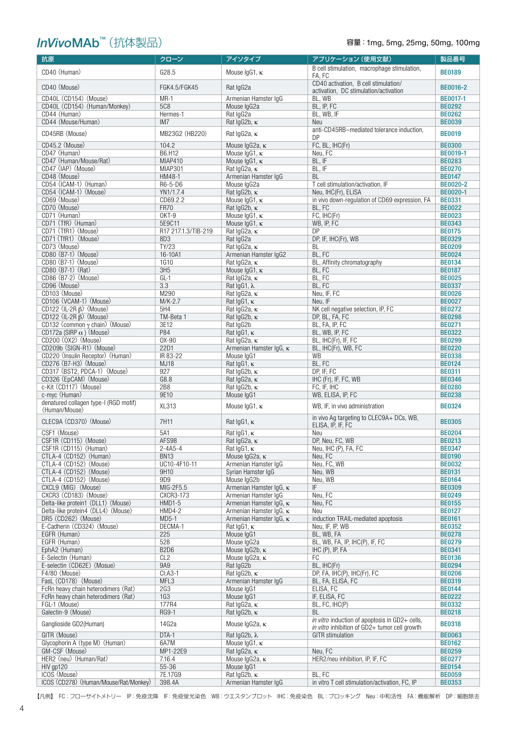## *InVivoMAb™* (抗体製品)

### 容量: 1mg, 5mg, 25mg, 50mg, 100mg

| 抗原                                                     | クローン                          | アイソタイプ                                          | アプリケーション (使用文献)                                   | 製品番号                           |
|--------------------------------------------------------|-------------------------------|-------------------------------------------------|---------------------------------------------------|--------------------------------|
| CD40 (Human)                                           | G28.5                         | Mouse $lgG1$ , $\kappa$                         | B cell stimulation, macrophage stimulation,       | <b>BE0189</b>                  |
|                                                        |                               |                                                 | FA, FC<br>CD40 activation, B cell stimulation/    |                                |
| CD40 (Mouse)                                           | FGK4.5/FGK45                  | Rat IgG2a                                       | activation, DC stimulation/activation             | <b>BE0016-2</b>                |
| CD40L (CD154) (Mouse)                                  | $MR-1$                        | Armenian Hamster IqG                            | BL, WB                                            | <b>BE0017-1</b>                |
| CD40L (CD154) (Human/Monkey)                           | <b>5C8</b>                    | Mouse laG2a                                     | BL, IP, FC                                        | <b>BE0292</b>                  |
| CD44 (Human)<br>CD44 (Mouse/Human)                     | Hermes-1<br>IM7               | Rat IgG2a                                       | BL, WB, IF                                        | <b>BE0262</b><br><b>BE0039</b> |
|                                                        |                               | Rat IgG2b, K                                    | Neu<br>anti-CD45RB-mediated tolerance induction,  |                                |
| CD45RB (Mouse)                                         | MB23G2 (HB220)                | Rat IgG2a, K                                    | DP                                                | <b>BE0019</b>                  |
| CD45.2 (Mouse)                                         | 104.2                         | Mouse IgG2a, K                                  | FC. BL. IHC(Fr)                                   | <b>BE0300</b>                  |
| CD47 (Human)                                           | B6.H12                        | Mouse $lgG1$ , $\kappa$                         | Neu, FC                                           | BE0019-1                       |
| CD47 (Human/Mouse/Rat)                                 | MIAP410                       | Mouse IgG1, K                                   | BL, IF                                            | <b>BE0283</b>                  |
| CD47 (IAP) (Mouse)<br>CD48 (Mouse)                     | <b>MIAP301</b><br>HM48-1      | Rat IgG2a, $\kappa$<br>Armenian Hamster IgG     | BL, IF<br><b>BL</b>                               | <b>BE0270</b><br><b>BE0147</b> |
| CD54 (ICAM-1) (Human)                                  | R6-5-D6                       | Mouse IgG2a                                     | T cell stimulation/activation, IF                 | BE0020-2                       |
| CD54 (ICAM-1) (Mouse)                                  | YN1/1.7.4                     | Rat IgG2b, K                                    | Neu, IHC(Fr), ELISA                               | BE0020-1                       |
| CD69 (Mouse)                                           | CD69.2.2                      | Mouse IgG1, κ                                   | in vivo down-regulation of CD69 expression, FA    | <b>BE0331</b>                  |
| CD70 (Mouse)                                           | <b>FR70</b>                   | Rat IgG2b, K                                    | BL, FC                                            | <b>BE0022</b>                  |
| CD71 (Human)                                           | OKT-9                         | Mouse $lgG1$ , $\kappa$                         | FC, IHC(Fr)                                       | <b>BE0023</b>                  |
| CD71 (TfR) (Human)<br>CD71 (TfR1) (Mouse)              | 5E9C11<br>R17 217.1.3/TIB-219 | Mouse IgG1, K<br>Rat IgG2a, K                   | WB, IP, FC<br>DP                                  | <b>BE0343</b><br><b>BE0175</b> |
| CD71 (TfR1) (Mouse)                                    | 8D3                           | Rat IgG2a                                       | DP, IF, IHC(Fr), WB                               | <b>BE0329</b>                  |
| CD73 (Mouse)                                           | TY/23                         | Rat IgG2a, K                                    | BL                                                | <b>BE0209</b>                  |
| CD80 (B7-1) (Mouse)                                    | 16-10A1                       | Armenian Hamster IgG2                           | BL, FC                                            | <b>BE0024</b>                  |
| CD80 (B7-1) (Mouse)                                    | <b>1G10</b>                   | Rat IgG2a, K                                    | BL, Affinity chromatography                       | <b>BE0134</b>                  |
| CD80 (B7-1) (Rat)                                      | 3H5                           | Mouse IgG1, K                                   | BL, FC                                            | <b>BE0187</b>                  |
| CD86 (B7-2) (Mouse)<br>CD96 (Mouse)                    | $GL-1$<br>3.3                 | Rat IgG2a, K                                    | BL, FC<br>BL, FC                                  | <b>BE0025</b>                  |
| CD103 (Mouse)                                          | M290                          | Rat IgG1, λ<br>Rat IgG2a, K                     | Neu, IF, FC                                       | <b>BE0337</b><br><b>BE0026</b> |
| CD106 (VCAM-1) (Mouse)                                 | $M/K-2.7$                     | Rat $lgG1$ , $\kappa$                           | Neu, IF                                           | <b>BE0027</b>                  |
| CD122 $(IL-2R \beta)$ (Mouse)                          | 5H4                           | Rat IgG2a, K                                    | NK cell negative selection, IP, FC                | <b>BE0272</b>                  |
| CD122 $(IL-2R \beta)$ (Mouse)                          | TM-Beta 1                     | Rat $lgG2b$ , $\kappa$                          | DP, BL, FA, FC                                    | <b>BE0298</b>                  |
| CD132 (common $\gamma$ chain) (Mouse)                  | 3E12                          | Rat IgG2b                                       | BL, FA, IP, FC                                    | <b>BE0271</b>                  |
| CD172a (SIRP $\alpha$ ) (Mouse)                        | P84                           | Rat $lgG1$ , $\kappa$                           | BL, WB, IP, FC                                    | <b>BE0322</b>                  |
| CD200 (0X2) (Mouse)<br>CD209b (SIGN-R1) (Mouse)        | $0X-90$<br>22D1               | Rat IgG2a, K<br>Armenian Hamster IgG, κ         | BL, IHC(Fr), IF, FC<br>BL, IHC(Fr), WB, FC        | <b>BE0299</b><br><b>BE0220</b> |
| CD220 (Insulin Receptor) (Human)                       | IR 83-22                      | Mouse IgG1                                      | WB                                                | <b>BE0338</b>                  |
| CD276 (B7-H3) (Mouse)                                  | <b>MJ18</b>                   | Rat $lgG1, \kappa$                              | BL, FC                                            | <b>BE0124</b>                  |
| CD317 (BST2, PDCA-1) (Mouse)                           | 927                           | Rat IgG2b, K                                    | DP, IF, FC                                        | <b>BE0311</b>                  |
| CD326 (EpCAM) (Mouse)                                  | G8.8                          | Rat IgG2a, K                                    | IHC (Fr), IF, FC, WB                              | <b>BE0346</b>                  |
| c-Kit (CD117) (Mouse)                                  | 2B8                           | Rat IgG2b, K                                    | FC, IF, IHC                                       | <b>BE0280</b>                  |
| c-myc (Human)<br>denatured collagen type-I (RGD motif) | 9E10                          | Mouse IgG1                                      | WB, ELISA, IP, FC                                 | <b>BE0238</b>                  |
| (Human/Mouse)                                          | <b>XL313</b>                  | Mouse IgG1, K                                   | WB, IF, in vivo administration                    | <b>BE0324</b>                  |
| CLEC9A (CD370) (Mouse)                                 | 7H11                          | Rat $lgG1$ , $\kappa$                           | in vivo Ag targeting to CLEC9A+ DCs, WB,          | <b>BE0305</b>                  |
|                                                        |                               |                                                 | ELISA, IP, IF, FC                                 |                                |
| CSF1 (Mouse)<br>CSF1R (CD115) (Mouse)                  | 5A1<br>AFS98                  | Rat $lgG1$ , $\kappa$<br>Rat IgG2a, K           | Neu<br>DP, Neu, FC, WB                            | <b>BE0204</b><br><b>BE0213</b> |
| CSF1R (CD115) (Human)                                  | $2 - 4A5 - 4$                 | Rat $lgG1$ , $\kappa$                           | Neu, IHC (P), FA, FC                              | <b>BE0347</b>                  |
| CTLA-4 (CD152) (Human)                                 | <b>BN13</b>                   | Mouse IgG2a, K                                  | Neu, FC                                           | <b>BE0190</b>                  |
| CTLA-4 (CD152) (Mouse)                                 | UC10-4F10-11                  | Armenian Hamster IgG                            | Neu, FC, WB                                       | <b>BE0032</b>                  |
| CTLA-4 (CD152) (Mouse)                                 | 9H10                          | Syrian Hamster IgG                              | Neu, WB                                           | <b>BE0131</b>                  |
| CTLA-4 (CD152) (Mouse)                                 | 9D <sub>9</sub>               | Mouse IgG2b                                     | Neu, WB                                           | <b>BE0164</b>                  |
| CXCL9 (MIG) (Mouse)<br>CXCR3 (CD183) (Mouse)           | MIG-2F5.5<br>CXCR3-173        | Armenian Hamster IgG, K<br>Armenian Hamster IgG | IF<br>Neu, FC                                     | <b>BE0309</b><br><b>BE0249</b> |
| Delta-like protein1 (DLL1) (Mouse)                     | HMD1-5                        | Armenian Hamster IgG, K                         | Neu, FC                                           | <b>BE0155</b>                  |
| Delta-like protein4 (DLL4) (Mouse)                     | $HMD4-2$                      | Armenian Hamster IgG, K                         | Neu                                               | <b>BE0127</b>                  |
| DR5 (CD262) (Mouse)                                    | $MD5-1$                       | Armenian Hamster IgG, K                         | induction TRAIL-mediated apoptosis                | <b>BE0161</b>                  |
| E-Cadherin (CD324) (Mouse)                             | DECMA-1                       | Rat $lgG1$ , $\kappa$                           | Neu, IF, IP, WB                                   | <b>BE0352</b>                  |
| EGFR (Human)                                           | 225                           | Mouse IgG1                                      | BL, WB, FA                                        | <b>BE0278</b>                  |
| EGFR (Human)<br>EphA2 (Human)                          | 528<br><b>B2D6</b>            | Mouse IgG2a<br>Mouse $lgG2b$ , $\kappa$         | BL, WB, FA, IP, IHC(P), IF, FC<br>IHC (P), IP, FA | <b>BE0279</b><br><b>BE0341</b> |
| E-Selectin (Human)                                     | CL <sub>2</sub>               | Mouse IgG2a, K                                  | FC                                                | <b>BE0136</b>                  |
| E-selectin (CD62E) (Mosue)                             | <b>9A9</b>                    | Rat IgG2b                                       | BL, IHC(Fr)                                       | <b>BE0294</b>                  |
| F4/80 (Mouse)                                          | $Cl: A3-1$                    | Rat IgG2b, $\kappa$                             | DP, FA, IHC(P), IHC(Fr), FC                       | <b>BE0206</b>                  |
| FasL (CD178) (Mouse)                                   | MFL3                          | Armenian Hamster IqG                            | BL, FA, ELISA, FC                                 | <b>BE0319</b>                  |
| FcRn heavy chain heterodimers (Rat)                    | 2G3                           | Mouse IgG1                                      | ELISA, FC                                         | <b>BE0144</b><br><b>BE0222</b> |
| FcRn heavy chain heterodimers (Rat)<br>FGL-1 (Mouse)   | 1G <sub>3</sub><br>177R4      | Mouse IgG1<br>Rat IgG2a, K                      | IF, ELISA, FC<br>BL, FC, IHC(P)                   | <b>BE0332</b>                  |
| Galectin-9 (Mouse)                                     | <b>RG9-1</b>                  | Rat IgG2b, K                                    | BL                                                | <b>BE0218</b>                  |
|                                                        |                               |                                                 | in vitro induction of apoptosis in GD2+ cells,    |                                |
| Ganglioside GD2(Human)                                 | 14G2a                         | Mouse IgG2a, K                                  | in vitro inhibition of GD2+ tumor cell growth     | <b>BE0318</b>                  |
| GITR (Mouse)                                           | DTA-1                         | Rat IgG2b, λ                                    | <b>GITR</b> stimulation                           | <b>BE0063</b>                  |
| Glycophorin A (type M) (Human)                         | 6A7M                          | Mouse $lgG1$ , $\kappa$                         |                                                   | <b>BE0162</b>                  |
| GM-CSF (Mouse)<br>HER2 (neu) (Human/Rat)               | MP1-22E9<br>7.16.4            | Rat IgG2a, K<br>Mouse IgG2a, K                  | Neu, FC<br>HER2/neu inhibition, IP, IF, FC        | <b>BE0259</b><br><b>BE0277</b> |
| HIV gp120                                              | 55-36                         | Mouse IgG1                                      |                                                   | <b>BE0154</b>                  |
| ICOS (Mouse)                                           | 7E.17G9                       | Rat $lgG2b, \kappa$                             | BL, FC                                            | <b>BE0059</b>                  |
| ICOS (CD278) (Human/Mouse/Rat/Monkey)                  | 398.4A                        | Armenian Hamster IgG                            | in vitro T cell stimulation/activation, FC, IP    | <b>BE0353</b>                  |

【凡例】 FC:フローサイトメトリー IP:免疫沈降 IF:免疫蛍光染色 WB:ウエスタンブロット IHC:免疫染色 BL:ブロッキング Neu:中和活性 FA:機能解析 DP:細胞除去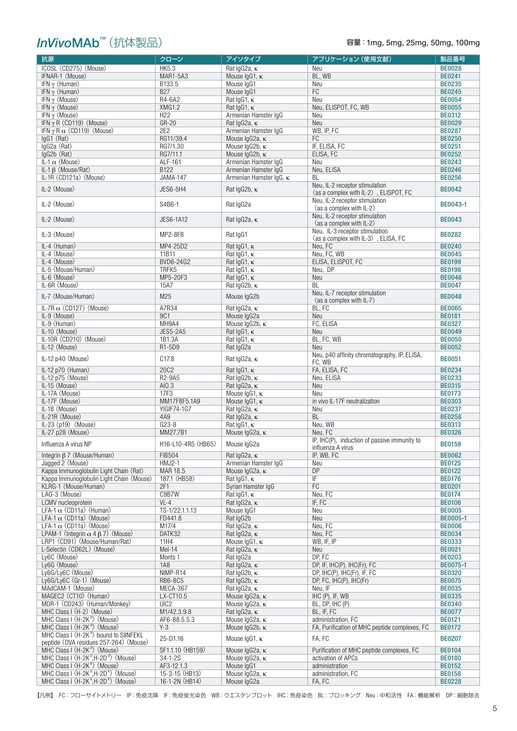## *InVivoMAb™* (抗体製品)

| 抗原                                                                                 | クローン                  | アイソタイプ                                        | アプリケーション (使用文献)                                                         | 製品番号                           |
|------------------------------------------------------------------------------------|-----------------------|-----------------------------------------------|-------------------------------------------------------------------------|--------------------------------|
| ICOSL (CD275) (Mouse)                                                              | <b>HK5.3</b>          | Rat IgG2a, K                                  | Neu                                                                     | <b>BE0028</b>                  |
| IFNAR-1 (Mouse)                                                                    | <b>MAR1-5A3</b>       | Mouse $lgG1, \kappa$                          | BL, WB                                                                  | <b>BE0241</b>                  |
| IFN $\gamma$ (Human)                                                               | B133.5                | Mouse IgG1                                    | Neu                                                                     | <b>BE0235</b>                  |
| IFN $\gamma$ (Human)                                                               | <b>B27</b>            | Mouse IgG1                                    | FC                                                                      | <b>BE0245</b>                  |
| IFN $\gamma$ (Mouse)                                                               | R4-6A2                | Rat IgG1, K                                   | Neu                                                                     | <b>BE0054</b>                  |
| IFN $\gamma$ (Mouse)                                                               | <b>XMG1.2</b>         | Rat $lgG1$ , $\kappa$                         | Neu, ELISPOT, FC, WB                                                    | <b>BE0055</b>                  |
| IFN $\gamma$ (Mouse)                                                               | H <sub>22</sub>       | Armenian Hamster IgG                          | Neu                                                                     | <b>BE0312</b>                  |
| IFN $\gamma$ R (CD119) (Mouse)                                                     | GR-20                 | Rat IgG2a, K                                  | Neu                                                                     | <b>BE0029</b>                  |
| IFN $\gamma$ R $\alpha$ (CD119) (Mouse)                                            | 2E2                   | Armenian Hamster IgG                          | WB, IP, FC                                                              | <b>BE0287</b>                  |
| $IqG1$ (Rat)                                                                       | RG11/39.4<br>RG7/1.30 | Mouse IgG2a, K                                | FC                                                                      | <b>BE0250</b>                  |
| IgG2a (Rat)<br>IgG2b (Rat)                                                         | RG7/11.1              | Mouse IgG2b, κ<br>Mouse IgG2b, κ              | IF, ELISA, FC<br>ELISA, FC                                              | <b>BE0251</b><br><b>BE0252</b> |
| IL-1 $\alpha$ (Mouse)                                                              | ALF-161               | Armenian Hamster IgG                          | Neu                                                                     | <b>BE0243</b>                  |
| IL-1 $\beta$ (Mouse/Rat)                                                           | B122                  | Armenian Hamster IgG                          | Neu, ELISA                                                              | <b>BE0246</b>                  |
| IL-1R (CD121a) (Mouse)                                                             | <b>JAMA-147</b>       | Armenian Hamster IgG, κ                       | BL                                                                      | <b>BE0256</b>                  |
|                                                                                    |                       |                                               | Neu, IL-2 receptor stimulation                                          |                                |
| IL-2 (Mouse)                                                                       | JES6-5H4              | Rat IgG2b, K                                  | (as a complex with IL-2), ELISPOT, FC<br>Neu, IL-2 receptor stimulation | <b>BE0042</b>                  |
| $IL-2$ (Mouse)                                                                     | S4B6-1                | Rat IgG2a                                     | (as a complex with IL-2)                                                | <b>BE0043-1</b>                |
| $IL-2$ (Mouse)                                                                     | JES6-1A12             | Rat IgG2a, K                                  | Neu, IL-2 receptor stimulation<br>(as a complex with IL-2)              | <b>BE0043</b>                  |
| IL-3 (Mouse)                                                                       | MP2-8F8               | Rat IgG1                                      | Neu, IL-3 receptor stimulation<br>(as a complex with IL-3), ELISA, FC   | <b>BE0282</b>                  |
| IL-4 (Human)                                                                       | MP4-25D2              | Rat IgG1, K                                   | Neu, FC                                                                 | <b>BE0240</b>                  |
| IL-4 (Mouse)                                                                       | 11B11                 | Rat IgG1, K                                   | Neu, FC, WB                                                             | <b>BE0045</b>                  |
| IL-4 (Mouse)                                                                       | BVD6-24G2             | Rat IgG1, K                                   | ELISA. ELISPOT. FC                                                      | <b>BE0199</b>                  |
| IL-5 (Mouse/Human)                                                                 | TRFK5                 | Rat IgG1, K                                   | Neu, DP                                                                 | <b>BE0198</b>                  |
| IL-6 (Mouse)                                                                       | MP5-20F3              | Rat $lgG1$ , $\kappa$                         | Neu                                                                     | <b>BE0046</b>                  |
| IL-6R (Mouse)                                                                      | 15A7                  | Rat IgG2b, K                                  | <b>BL</b>                                                               | <b>BE0047</b>                  |
| IL-7 (Mouse/Human)                                                                 | M25                   | Mouse IgG2b                                   | Neu, IL-7 receptor stimulation<br>(as a complex with IL-7)              | <b>BE0048</b>                  |
| IL-7R $\alpha$ (CD127) (Mouse)                                                     | A7R34                 | Rat IgG2a, K                                  | BL, FC                                                                  | <b>BE0065</b>                  |
| IL-9 (Mouse)                                                                       | 9C1                   | Mouse IgG2a                                   | Neu                                                                     | <b>BE0181</b>                  |
| IL-9 (Human)                                                                       | MH9A4                 | Mouse IgG2b, K                                | FC, ELISA                                                               | <b>BE0327</b>                  |
| IL-10 (Mouse)                                                                      | <b>JES5-2A5</b>       | Rat $lgG1$ , $\kappa$                         | Neu                                                                     | <b>BE0049</b>                  |
| IL-10R (CD210) (Mouse)                                                             | 1B1.3A                | Rat $lgG1$ , $\kappa$                         | BL, FC, WB                                                              | <b>BE0050</b>                  |
| IL-12 (Mouse)                                                                      | R1-5D9                | Rat IgG2a                                     | Neu                                                                     | <b>BE0052</b>                  |
| IL-12 p40 (Mouse)                                                                  | C <sub>17.8</sub>     | Rat IgG2a, K                                  | Neu, p40 affinity chromatography, IP, ELISA,<br>FC, WB                  | <b>BE0051</b>                  |
| IL-12 p70 (Human)                                                                  | 20C2                  | Rat $lgG1$ , $\kappa$                         | FA, ELISA, FC                                                           | <b>BE0234</b>                  |
| IL-12 p75 (Mouse)                                                                  | R2-9A5                | Rat $lgG2b$ , $\kappa$                        | Neu, ELISA                                                              | <b>BE0233</b>                  |
| IL-15 (Mouse)                                                                      | AI0.3                 | Rat IgG2a, K                                  | Neu                                                                     | <b>BE0315</b>                  |
| IL-17A (Mouse)                                                                     | 17F3                  | Mouse IgG1, K                                 | Neu                                                                     | <b>BE0173</b>                  |
| IL-17F (Mouse)                                                                     | MM17F8F5.1A9          | Mouse $lgG1$ , $\kappa$                       | in vivo IL-17F neutralization                                           | <b>BE0303</b>                  |
| IL-18 (Mouse)                                                                      | YIGIF74-1G7           | Rat IgG2a, K                                  | Neu                                                                     | <b>BE0237</b>                  |
| IL-21R (Mouse)                                                                     | 4A9                   | Rat IgG2a, K                                  | <b>BL</b>                                                               | <b>BE0258</b>                  |
| IL-23 (p19) (Mouse)                                                                | $G23-8$               | Rat $lgG1$ , $\kappa$                         | Neu, WB                                                                 | <b>BE0313</b>                  |
| IL-27 p28 (Mouse)                                                                  | MM27.7B1              | Mouse $lgG2a$ , $\kappa$                      | Neu, FC                                                                 | <b>BE0326</b>                  |
| Influenza A virus NP                                                               | H16-L10-4R5 (HB65)    | Mouse IgG2a                                   | IP, IHC(P), induction of passive immunity to<br>influenza A virus       | <b>BE0159</b>                  |
| Integrin $\beta$ 7 (Mouse/Human)                                                   | <b>FIB504</b>         | Rat IgG2a, K                                  | IP, WB, FC                                                              | <b>BE0062</b>                  |
| Jagged 2 (Mouse)                                                                   | HMJ2-1                | Armenian Hamster IgG                          | Neu                                                                     | <b>BE0125</b>                  |
| Kappa Immunoglobulin Light Chain (Rat)                                             | MAR 18.5              | Mouse IgG2a, K                                | <b>DP</b>                                                               | <b>BE0122</b>                  |
| Kappa Immunoqlobulin Light Chain (Mouse)                                           | 187.1 (HB58)          | Rat $lgG1$ , $\kappa$                         | IF                                                                      | <b>BE0176</b>                  |
| KLRG-1 (Mouse/Human)                                                               | 2F1                   | Syrian Hamster IgG                            | FC                                                                      | <b>BE0201</b>                  |
| LAG-3 (Mouse)                                                                      | C9B7W                 | Rat $lgG1$ , $\kappa$                         | Neu, FC                                                                 | <b>BE0174</b>                  |
| LCMV nucleoprotein                                                                 | $VL-4$                | Rat $lgG2a$ , $\kappa$                        | IF, FC                                                                  | <b>BE0106</b>                  |
| LFA-1 $\alpha$ (CD11a) (Human)                                                     | TS-1/22.1.1.13        | Mouse IgG1                                    | Neu                                                                     | <b>BE0005</b>                  |
| LFA-1 $\alpha$ (CD11a) (Mouse)                                                     | FD441.8               | Rat IgG2b                                     | Neu                                                                     | BE0005-1                       |
| LFA-1 $\alpha$ (CD11a) (Mouse)                                                     | M17/4                 | Rat IgG2a, K                                  | Neu, FC                                                                 | <b>BE0006</b>                  |
| LPAM-1 (Integrin $\alpha$ 4 $\beta$ 7) (Mouse)                                     | DATK32                | Rat IgG2a, K                                  | Neu, FC                                                                 | <b>BE0034</b>                  |
| LRP1 (CD91) (Mouse/Human/Rat)                                                      | 11H4                  | Mouse IgG1, K                                 | WB, IF, IP                                                              | <b>BE0333</b>                  |
| L-Selectin (CD62L) (Mouse)                                                         | Mel-14                | Rat IgG2a, $\kappa$                           | Neu                                                                     | <b>BE0021</b>                  |
| Ly6C (Mouse)                                                                       | Monts <sub>1</sub>    | Rat IgG2a                                     | DP, FC                                                                  | <b>BE0203</b>                  |
| Ly6G (Mouse)                                                                       | <b>1A8</b>            | Rat IgG2a, $\kappa$                           | DP, IF, IHC(P), IHC(Fr), FC                                             | BE0075-1                       |
| Ly6G/Ly6C (Mouse)<br>Ly6G/Ly6C (Gr-1) (Mouse)                                      | NIMP-R14<br>RB6-8C5   | Rat $lgG2b$ , $\kappa$<br>Rat $lgG2b, \kappa$ | DP, IHC(P), IHC(Fr), IF, FC<br>DP, FC, IHC(P), IHC(Fr)                  | <b>BE0320</b><br><b>BE0075</b> |
| MAdCAM-1 (Mouse)                                                                   | MECA-367              | Rat IgG2a, K                                  | Neu, IF                                                                 | <b>BE0035</b>                  |
| MAGEC2 (CT10) (Human)                                                              | LX-CT10.5             | Mouse IgG2a, K                                | IHC (P), IF, WB                                                         | <b>BE0335</b>                  |
| MDR-1 (CD243) (Human/Monkey)                                                       | UIC <sub>2</sub>      | Mouse IgG2a, K                                | BL, DP, IHC (P)                                                         | <b>BE0340</b>                  |
| MHC Class I (H-2) (Mouse)                                                          | M1/42.3.9.8           | Rat IgG2a, K                                  | BL, IF, FC                                                              | <b>BE0077</b>                  |
| MHC Class I (H-2K <sup>b</sup> ) (Mouse)                                           | AF6-88.5.5.3          | Mouse IgG2a, K                                | administration, FC                                                      | <b>BE0121</b>                  |
| MHC Class I (H-2K <sup>b</sup> ) (Mouse)                                           | $Y-3$                 | Mouse IgG2b, κ                                | FA, Purification of MHC peptide complexes, FC                           | <b>BE0172</b>                  |
| MHC Class I (H-2K <sup>b</sup> ) bound to SIINFEKL                                 | 25-D1.16              | Mouse IgG1, K                                 | FA, FC                                                                  | <b>BE0207</b>                  |
| peptide (OVA residues 257-264) (Mouse)<br>MHC Class I (H-2K <sup>d</sup> ) (Mouse) | SF1.1.10 (HB159)      | Mouse IgG2a, K                                | Purification of MHC peptide complexes, FC                               | <b>BE0104</b>                  |
| MHC Class I (H-2K <sup>d</sup> , H-2D <sup>d</sup> ) (Mouse)                       | $34 - 1 - 2S$         | Mouse IgG2a, K                                | activation of APCs                                                      | <b>BE0180</b>                  |
| MHC Class I (H-2K <sup>k</sup> ) (Mouse)                                           | AF3-12.1.3            | Mouse IgG1                                    | administration                                                          | <b>BE0152</b>                  |
| MHC Class I (H-2K <sup>k</sup> , H-2D <sup>k</sup> ) (Mouse)                       | 15-3-1S (HB13)        | Mouse IgG2a, K                                | administration, FC                                                      | <b>BE0158</b>                  |
| MHC Class I (H-2K <sup>k</sup> , H-2D <sup>k</sup> ) (Mouse)                       | 16-1-2N (HB14)        | Mouse IgG2a                                   | FA, FC                                                                  | <b>BE0228</b>                  |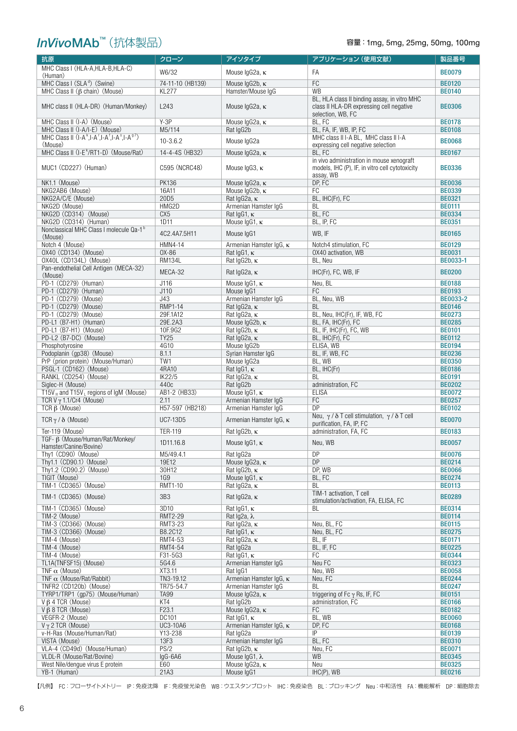## *InVivoMAb™* (抗体製品)

### 容量: 1mg, 5mg, 25mg, 50mg, 100mg

| 抗原                                                             | クローン                       | アイソタイプ                                         | アプリケーション (使用文献)                                                                                               | 製品番号                           |
|----------------------------------------------------------------|----------------------------|------------------------------------------------|---------------------------------------------------------------------------------------------------------------|--------------------------------|
| MHC Class I (HLA-A, HLA-B, HLA-C)                              | W6/32                      | Mouse IgG2a, K                                 | FA                                                                                                            | <b>BE0079</b>                  |
| (Human)                                                        |                            |                                                |                                                                                                               |                                |
| MHC Class I (SLA <sup>d</sup> ) (Swine)                        | 74-11-10 (HB139)           | Mouse IgG2b, K                                 | FC                                                                                                            | <b>BE0120</b>                  |
| MHC Class II $(\beta \text{ chain})$ (Mouse)                   | <b>KL277</b>               | Hamster/Mouse IgG                              | WB                                                                                                            | <b>BE0140</b>                  |
| MHC class II (HLA-DR) (Human/Monkey)                           | L243                       | Mouse IgG2a, K                                 | BL, HLA class II binding assay, in vitro MHC<br>class II HLA-DR expressing cell negative<br>selection, WB, FC | <b>BE0306</b>                  |
| MHC Class II (I-A) (Mouse)                                     | $Y-3P$                     | Mouse IgG2a, K                                 | BL, FC                                                                                                        | <b>BE0178</b>                  |
| MHC Class II (I-A/I-E) (Mouse)                                 | M5/114                     | Rat IgG2b                                      | BL, FA, IF, WB, IP, FC                                                                                        | <b>BE0108</b>                  |
| MHC Class II $(I-A^k,I-A^r,I-A^f,I-A^s,I-A^{g7})$              | $10 - 3.6.2$               | Mouse IgG2a                                    | MHC class II I-A BL, MHC class II I-A                                                                         | <b>BE0068</b>                  |
| (Mouse)<br>MHC Class II (I-E <sup>k</sup> /RT1-D) (Mouse/Rat)  | 14-4-4S (HB32)             | Mouse IgG2a, K                                 | expressing cell negative selection<br>BL, FC                                                                  | <b>BE0167</b>                  |
|                                                                |                            |                                                | in vivo administration in mouse xenograft                                                                     |                                |
| MUC1 (CD227) (Human)                                           | C595 (NCRC48)              | Mouse IgG3, K                                  | models, IHC (P), IF, in vitro cell cytotoxicity<br>assay, WB                                                  | <b>BE0336</b>                  |
| NK1.1 (Mouse)                                                  | <b>PK136</b>               | Mouse IgG2a, K                                 | DP, FC                                                                                                        | <b>BE0036</b>                  |
| NKG2AB6 (Mouse)                                                | 16A11                      | Mouse $lgG2b$ , $\kappa$                       | FC                                                                                                            | <b>BE0339</b>                  |
| NKG2A/C/E (Mouse)                                              | 20D <sub>5</sub>           | Rat IgG2a, K                                   | BL, IHC(Fr), FC                                                                                               | <b>BE0321</b>                  |
| NKG2D (Mouse)                                                  | HMG2D                      | Armenian Hamster IqG                           | BL                                                                                                            | <b>BE0111</b>                  |
| NKG2D (CD314) (Mouse)<br>NKG2D (CD314) (Human)                 | CX <sub>5</sub><br>1D11    | Rat IgG1, K                                    | BL, FC                                                                                                        | <b>BE0334</b><br><b>BE0351</b> |
| Nonclassical MHC Class I molecule Qa-1 <sup>b</sup>            |                            | Mouse $lgG1$ , $\kappa$                        | BL, IP, FC                                                                                                    |                                |
| (Mouse)<br>Notch 4 (Mouse)                                     | 4C2.4A7.5H11<br>HMN4-14    | Mouse IgG1<br>Armenian Hamster IgG, κ          | WB, IF<br>Notch4 stimulation, FC                                                                              | <b>BE0165</b><br><b>BE0129</b> |
| OX40 (CD134) (Mouse)                                           | 0X-86                      | Rat IgG1, $\kappa$                             | OX40 activation, WB                                                                                           | <b>BE0031</b>                  |
| OX40L (CD134L) (Mouse)                                         | <b>RM134L</b>              | Rat IgG2b, K                                   | BL, Neu                                                                                                       | BE0033-1                       |
| Pan-endothelial Cell Antigen (MECA-32)                         | MECA-32                    | Rat IgG2a, K                                   | IHC(Fr), FC, WB, IF                                                                                           | <b>BE0200</b>                  |
| (Mouse)                                                        |                            |                                                |                                                                                                               |                                |
| PD-1 (CD279) (Human)<br>PD-1 (CD279) (Human)                   | J116                       | Mouse $lgG1$ , $\kappa$                        | Neu, BL                                                                                                       | <b>BE0188</b>                  |
| PD-1 (CD279) (Mouse)                                           | J110                       | Mouse IgG1                                     | FC                                                                                                            | <b>BE0193</b>                  |
| PD-1 (CD279) (Mouse)                                           | J43<br>RMP1-14             | Armenian Hamster IgG<br>Rat IgG2a, K           | BL, Neu, WB<br><b>BL</b>                                                                                      | BE0033-2<br><b>BE0146</b>      |
| PD-1 (CD279) (Mouse)                                           | 29F.1A12                   | Rat IgG2a, K                                   | BL, Neu, IHC(Fr), IF, WB, FC                                                                                  | <b>BE0273</b>                  |
| PD-L1 (B7-H1) (Human)                                          | 29E.2A3                    | Mouse $lgG2b, \kappa$                          | BL, FA, IHC(Fr), FC                                                                                           | <b>BE0285</b>                  |
| PD-L1 (B7-H1) (Mouse)                                          | 10F.9G2                    | Rat IgG2b, K                                   | BL, IF, IHC(Fr), FC, WB                                                                                       | <b>BE0101</b>                  |
| PD-L2 (B7-DC) (Mouse)                                          | <b>TY25</b>                | Rat IgG2a, K                                   | BL, IHC(Fr), FC                                                                                               | <b>BE0112</b>                  |
| Phosphotyrosine                                                | 4G10                       | Mouse IgG2b                                    | ELISA, WB                                                                                                     | <b>BE0194</b>                  |
| Podoplanin (gp38) (Mouse)                                      | 8.1.1                      | Syrian Hamster IgG                             | BL, IF, WB, FC                                                                                                | <b>BE0236</b>                  |
| PrP (prion protein) (Mouse/Human)                              | TW1                        | Mouse IgG2a                                    | BL, WB                                                                                                        | <b>BE0350</b>                  |
| PSGL-1 (CD162) (Mouse)                                         | 4RA10                      | Rat $lgG1$ , $\kappa$                          | BL, IHC(Fr)                                                                                                   | <b>BE0186</b>                  |
| RANKL (CD254) (Mouse)                                          | IK22/5                     | Rat IgG2a, K                                   | BL                                                                                                            | <b>BE0191</b>                  |
| Siglec-H (Mouse)                                               | 440c                       | Rat IgG2b                                      | administration, FC                                                                                            | <b>BE0202</b>                  |
| T15V <sub>H</sub> and T15V <sub>L</sub> regions of IgM (Mouse) | AB1-2 (HB33)               | Mouse IgG1, κ                                  | <b>ELISA</b>                                                                                                  | <b>BE0072</b>                  |
| TCR V $\gamma$ 1.1/Cr4 (Mouse)<br>$TCR \beta$ (Mouse)          | 2.11<br>H57-597 (HB218)    | Armenian Hamster IgG<br>Armenian Hamster IgG   | FC<br><b>DP</b>                                                                                               | <b>BE0257</b><br><b>BE0102</b> |
|                                                                |                            |                                                | Neu, $\gamma / \delta$ T cell stimulation, $\gamma / \delta$ T cell                                           |                                |
| TCR $\gamma$ / $\delta$ (Mouse)<br>Ter-119 (Mouse)             | UC7-13D5<br><b>TER-119</b> | Armenian Hamster IgG, $\kappa$<br>Rat IgG2b, K | purification, FA, IP, FC<br>administration, FA, FC                                                            | <b>BE0070</b><br><b>BE0183</b> |
| TGF- β (Mouse/Human/Rat/Monkey/                                |                            |                                                |                                                                                                               |                                |
| Hamster/Canine/Bovine)                                         | 1D11.16.8                  | Mouse IgG1, K                                  | Neu, WB                                                                                                       | <b>BE0057</b>                  |
| Thy1 (CD90) (Mouse)                                            | M5/49.4.1                  | Rat IgG2a                                      | <b>DP</b>                                                                                                     | <b>BE0076</b>                  |
| Thy1.1 (CD90.1) (Mouse)                                        | 19E12                      | Mouse IgG2a, K                                 | DP                                                                                                            | <b>BE0214</b>                  |
| Thy1.2 (CD90.2) (Mouse)                                        | 30H12                      | Rat IgG2b, K                                   | DP, WB                                                                                                        | <b>BE0066</b>                  |
| TIGIT (Mouse)<br>TIM-1 (CD365) (Mouse)                         | 1G9<br><b>RMT1-10</b>      | Mouse $lgG1$ , $\kappa$<br>Rat IgG2a, K        | BL, FC<br>BL                                                                                                  | <b>BE0274</b><br><b>BE0113</b> |
|                                                                |                            |                                                | TIM-1 activation, T cell                                                                                      |                                |
| TIM-1 (CD365) (Mouse)                                          | 3B3                        | Rat IgG2a, K                                   | stimulation/activation, FA, ELISA, FC                                                                         | <b>BE0289</b>                  |
| TIM-1 (CD365) (Mouse)                                          | 3D <sub>10</sub>           | Rat $lgG1$ , $\kappa$                          | BL                                                                                                            | <b>BE0314</b>                  |
| TIM-2 (Mouse)                                                  | <b>RMT2-29</b>             | Rat Ig2a, $\lambda$                            |                                                                                                               | <b>BE0114</b>                  |
| TIM-3 (CD366) (Mouse)                                          | <b>RMT3-23</b>             | Rat $IqG2a, \kappa$                            | Neu, BL, FC                                                                                                   | <b>BE0115</b>                  |
| TIM-3 (CD366) (Mouse)<br>TIM-4 (Mouse)                         | B8.2C12<br>RMT4-53         | Rat $lgG1$ , $\kappa$<br>Rat IgG2a, K          | Neu, BL, FC<br>BL, IF                                                                                         | <b>BE0275</b><br><b>BE0171</b> |
| TIM-4 (Mouse)                                                  | RMT4-54                    | Rat IgG2a                                      | BL, IF, FC                                                                                                    | <b>BE0225</b>                  |
| TIM-4 (Mouse)                                                  | F31-5G3                    | Rat $lgG1$ , $\kappa$                          | FC                                                                                                            | <b>BE0344</b>                  |
| TL1A(TNFSF15) (Mouse)                                          | 5G4.6                      | Armenian Hamster IqG                           | Neu FC                                                                                                        | <b>BE0323</b>                  |
| TNF $\alpha$ (Mouse)                                           | XT3.11                     | Rat IgG1                                       | Neu, WB                                                                                                       | <b>BE0058</b>                  |
| TNF $\alpha$ (Mouse/Rat/Rabbit)                                | TN3-19.12                  | Armenian Hamster IgG, K                        | Neu, FC                                                                                                       | <b>BE0244</b>                  |
| TNFR2 (CD120b) (Mouse)                                         | TR75-54.7                  | Armenian Hamster IqG                           | <b>BL</b>                                                                                                     | <b>BE0247</b>                  |
| TYRP1/TRP1 (gp75) (Mouse/Human)                                | <b>TA99</b>                | Mouse IgG2a, K                                 | triggering of Fc $\gamma$ Rs, IF, FC                                                                          | <b>BE0151</b>                  |
| $V \beta$ 4 TCR (Mouse)                                        | KT4                        | Rat IgG2b                                      | administration, FC                                                                                            | <b>BE0166</b>                  |
| $V \beta$ 8 TCR (Mouse)                                        | F23.1                      | Mouse IgG2a, K                                 | FC                                                                                                            | <b>BE0182</b>                  |
| VEGFR-2 (Mouse)                                                | DC101                      | Rat $lgG1$ , $\kappa$                          | BL, WB                                                                                                        | <b>BE0060</b>                  |
| $V \gamma$ 2 TCR (Mouse)<br>v-H-Ras (Mouse/Human/Rat)          | <b>UC3-10A6</b><br>Y13-238 | Armenian Hamster IgG, κ<br>Rat IgG2a           | DP, FC<br>IP                                                                                                  | <b>BE0168</b><br><b>BE0139</b> |
| VISTA (Mouse)                                                  | 13F3                       | Armenian Hamster IgG                           | BL, FC                                                                                                        | <b>BE0310</b>                  |
| VLA-4 (CD49d) (Mouse/Human)                                    | PS/2                       | Rat IgG2b, K                                   | Neu, FC                                                                                                       | <b>BE0071</b>                  |
| VLDL-R (Mouse/Rat/Bovine)                                      | $lgG-6A6$                  | Mouse $lgG1, \lambda$                          | <b>WB</b>                                                                                                     | <b>BE0345</b>                  |
| West Nile/dengue virus E protein                               | E60                        | Mouse IgG2a, K                                 | Neu                                                                                                           | <b>BE0325</b>                  |
| YB-1 (Human)                                                   | 21A3                       | Mouse IgG1                                     | IHC(P), WB                                                                                                    | <b>BE0216</b>                  |

【凡例】 FC:フローサイトメトリー IP:免疫沈降 IF:免疫蛍光染色 WB:ウエスタンブロット IHC:免疫染色 BL:ブロッキング Neu:中和活性 FA:機能解析 DP:細胞除去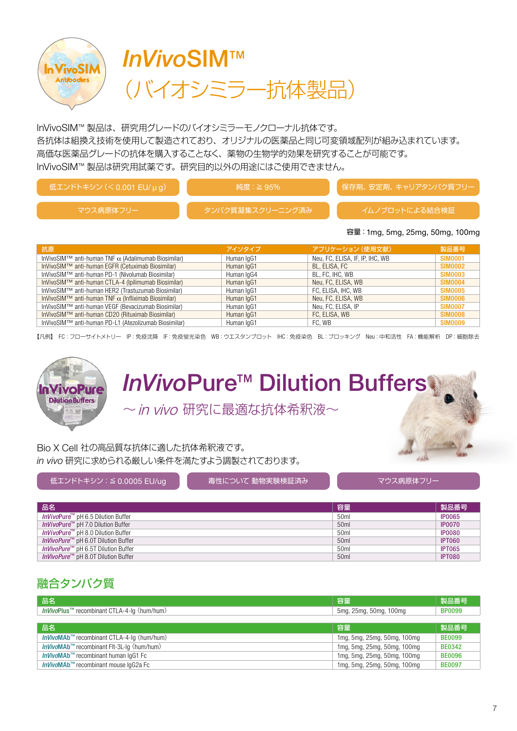



InVivoSIM™ 製品は、研究用グレードのバイオシミラーモノクローナル抗体です。 各抗体は組換え技術を使用して製造されており、オリジナルの医薬品と同じ可変領域配列が組み込まれています。 高価な医薬品グレードの抗体を購入することなく、薬物の生物学的効果を研究することが可能です。 InVivoSIM™ 製品は研究用試薬です。研究目的以外の用途にはご使用できません。

| 低エンドトキシン (く0.001 EU/μg) | 純度 : ≧ 95%       | 保存剤、安定剤、キャリアタンパク質フリー |
|-------------------------|------------------|----------------------|
| マウス病原体フリー               | タンパク質凝集スクリーニング済み | イムノブロットによる結合検証       |

#### 容量:1mg, 5mg, 25mg, 50mg, 100mg

|                                                                         |            | アプリケーション (使用文献)                 |                |
|-------------------------------------------------------------------------|------------|---------------------------------|----------------|
| 抗原                                                                      | アイソタイプ     |                                 | 製品番号           |
| InVivoSIM <sup>TM</sup> anti-human TNF $\alpha$ (Adalimumab Biosimilar) | Human IgG1 | Neu, FC, ELISA, IF, IP, IHC, WB | <b>SIM0001</b> |
| InVivoSIM™ anti-human EGFR (Cetuximab Biosimilar)                       | Human IgG1 | BL, ELISA, FC                   | <b>SIM0002</b> |
| InVivoSIM™ anti-human PD-1 (Nivolumab Biosimilar)                       | Human IgG4 | BL, FC, IHC, WB                 | <b>SIM0003</b> |
| InVivoSIM™ anti-human CTLA-4 (Ipilimumab Biosimilar)                    | Human IgG1 | Neu, FC, ELISA, WB              | <b>SIM0004</b> |
| InVivoSIM™ anti-human HER2 (Trastuzumab Biosimilar)                     | Human IgG1 | FC, ELISA, IHC, WB              | <b>SIM0005</b> |
| InVivoSIM™ anti-human TNF $\alpha$ (Infliximab Biosimilar)              | Human IqG1 | Neu, FC, ELISA, WB              | <b>SIM0006</b> |
| InVivoSIM™ anti-human VEGF (Bevacizumab Biosimilar)                     | Human IgG1 | Neu, FC, ELISA, IP              | <b>SIM0007</b> |
| InVivoSIM™ anti-human CD20 (Rituximab Biosimilar)                       | Human IgG1 | FC, ELISA, WB                   | <b>SIM0008</b> |
| InVivoSIM™ anti-human PD-L1 (Atezolizumab Biosimilar)                   | Human IgG1 | FC. WB                          | <b>SIM0009</b> |

【凡例】 FC:フローサイトメトリー IP:免疫沈降 IF:免疫蛍光染色 WB:ウエスタンブロット IHC:免疫染色 BL:ブロッキング Neu:中和活性 FA:機能解析 DP:細胞除去



## *InVivo*Pure™ Dilution Buffers

~in vivo 研究に最適な抗体希釈液~

Bio X Cell 社の高品質な抗体に適した抗体希釈液です。 *in vivo* 研究に求められる厳しい条件を満たすよう調製されております。

低エンドトキシン:≦ 0.0005 EU/ug → ■ ■ ■ ■ 毒性について 動物実験検証済み → ■ ■ ■ ■ ■ マウス病原体フリー

| 品名                                                     | 容量               | 製品番号          |
|--------------------------------------------------------|------------------|---------------|
| <i>InVivo</i> Pure <sup>™</sup> pH 6.5 Dilution Buffer | 50 <sub>ml</sub> | <b>IP0065</b> |
| <i>InVivo</i> Pure <sup>™</sup> pH 7.0 Dilution Buffer | 50 <sub>ml</sub> | <b>IP0070</b> |
| <i>InVivo</i> Pure <sup>™</sup> pH 8.0 Dilution Buffer | 50 <sub>ml</sub> | <b>IP0080</b> |
| <i>InVivoPure</i> <sup>™</sup> pH 6.0T Dilution Buffer | 50 <sub>ml</sub> | <b>IPT060</b> |
| <i>InVivoPure</i> ™ pH 6.5T Dilution Buffer            | 50 <sub>ml</sub> | <b>IPT065</b> |
| <i>InVivoPure</i> <sup>™</sup> pH 8.0T Dilution Buffer | 50 <sub>ml</sub> | <b>IPT080</b> |

## 融合タンパク質

| 品名                                                              | 容量                          | 製品番号          |
|-----------------------------------------------------------------|-----------------------------|---------------|
| <i>InVivo</i> Plus <sup>™</sup> recombinant CTLA-4-lq (hum/hum) | 5mg, 25mg, 50mg, 100mg      | <b>BP0099</b> |
|                                                                 |                             |               |
| 品名                                                              | 容量                          | 製品番号          |
| InVivoMAb™ recombinant CTLA-4-Ig (hum/hum)                      | 1mg, 5mg, 25mg, 50mg, 100mg | <b>BE0099</b> |
| InVivoMAb <sup>™</sup> recombinant FIt-3L-Iq (hum/hum)          | 1mg, 5mg, 25mg, 50mg, 100mg | <b>BE0342</b> |
| <i>InVivo</i> MAb <sup>™</sup> recombinant human IqG1 Fc        | 1mg, 5mg, 25mg, 50mg, 100mg | <b>BE0096</b> |
| <i>InVivo</i> MAb <sup>™</sup> recombinant mouse IqG2a Fc       | 1mg, 5mg, 25mg, 50mg, 100mg | <b>BE0097</b> |